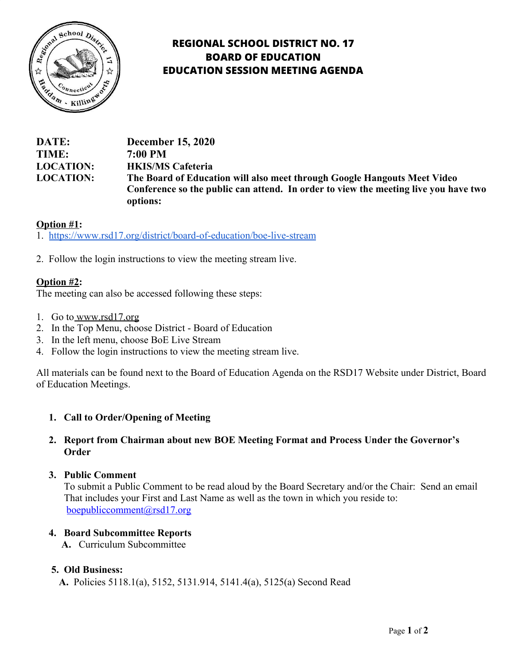

# **REGIONAL SCHOOL DISTRICT NO. 17 BOARD OF EDUCATION EDUCATION SESSION MEETING AGENDA**

**DATE: December 15, 2020 TIME: 7:00 PM LOCATION: HKIS/MS Cafeteria LOCATION: The Board of Education will also meet through Google Hangouts Meet Video Conference so the public can attend. In order to view the meeting live you have two options:**

## **Option #1:**

1. <https://www.rsd17.org/district/board-of-education/boe-live-stream>

2. Follow the login instructions to view the meeting stream live.

## **Option #2:**

The meeting can also be accessed following these steps:

- 1. Go t[o www.rsd17.org](http://www.rsd17.org/)
- 2. In the Top Menu, choose District Board of Education
- 3. In the left menu, choose BoE Live Stream
- 4. Follow the login instructions to view the meeting stream live.

All materials can be found next to the Board of Education Agenda on the RSD17 Website under District, Board of Education Meetings.

## **1. Call to Order/Opening of Meeting**

## **2. Report from Chairman about new BOE Meeting Format and Process Under the Governor's Order**

#### **3. Public Comment**

 To submit a Public Comment to be read aloud by the Board Secretary and/or the Chair: Send an email That includes your First and Last Name as well as the town in which you reside to: [boepubliccomment@rsd17.org](mailto:boepubliccomment@rsd17.org)

#### **4. Board Subcommittee Reports**

 **A.** Curriculum Subcommittee

#### **5. Old Business:**

**A.** Policies 5118.1(a), 5152, 5131.914, 5141.4(a), 5125(a) Second Read